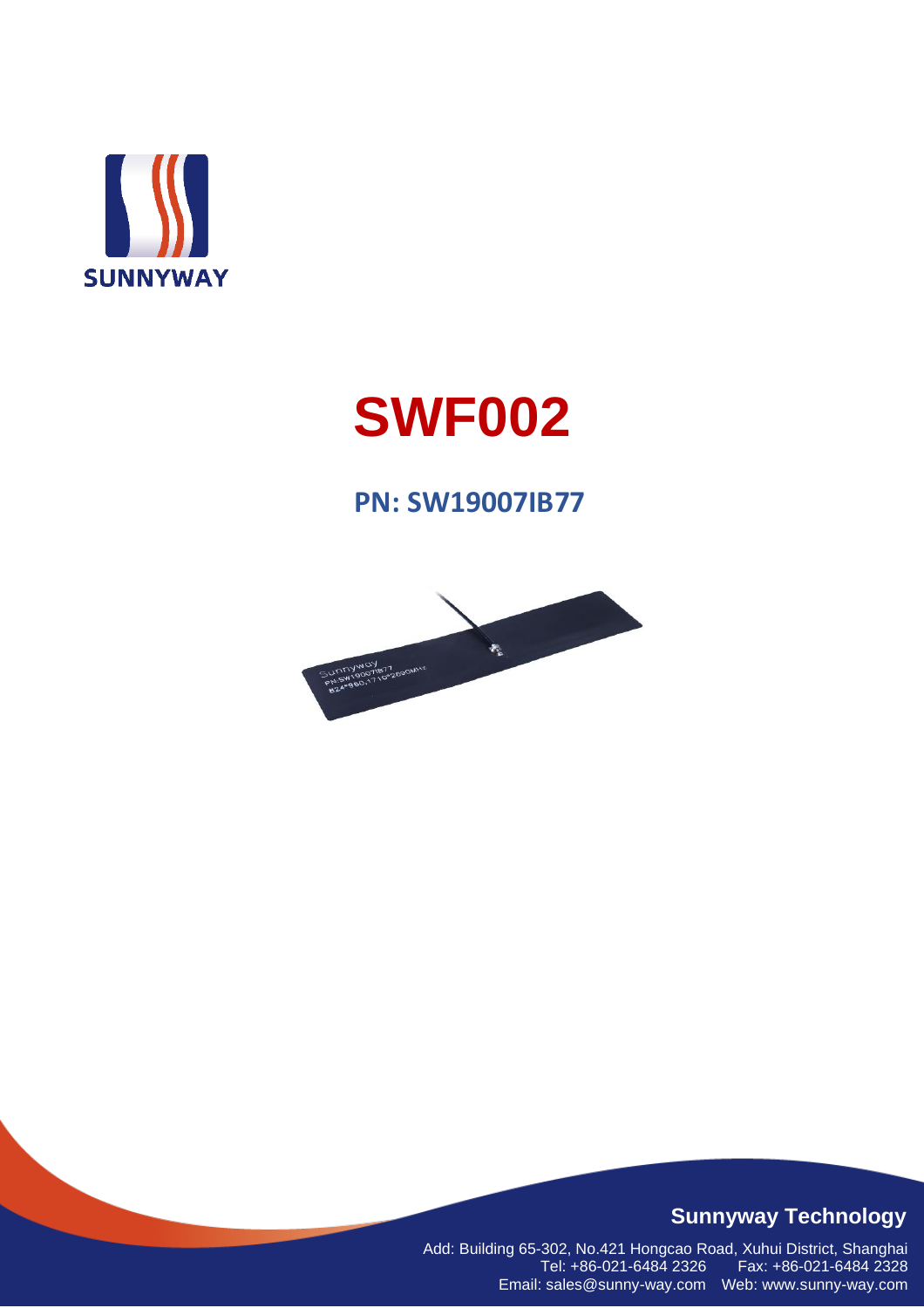

# **SWF002**

#### **PN: SW19007IB77**



#### **Sunnyway Technology**

Add: Building 65-302, No.421 Hongcao Road, Xuhui District, Shanghai Tel: +86-021-6484 2326 Fax: +86-021-6484 2328 Email: sales@sunny-way.com Web: www.sunny-way.com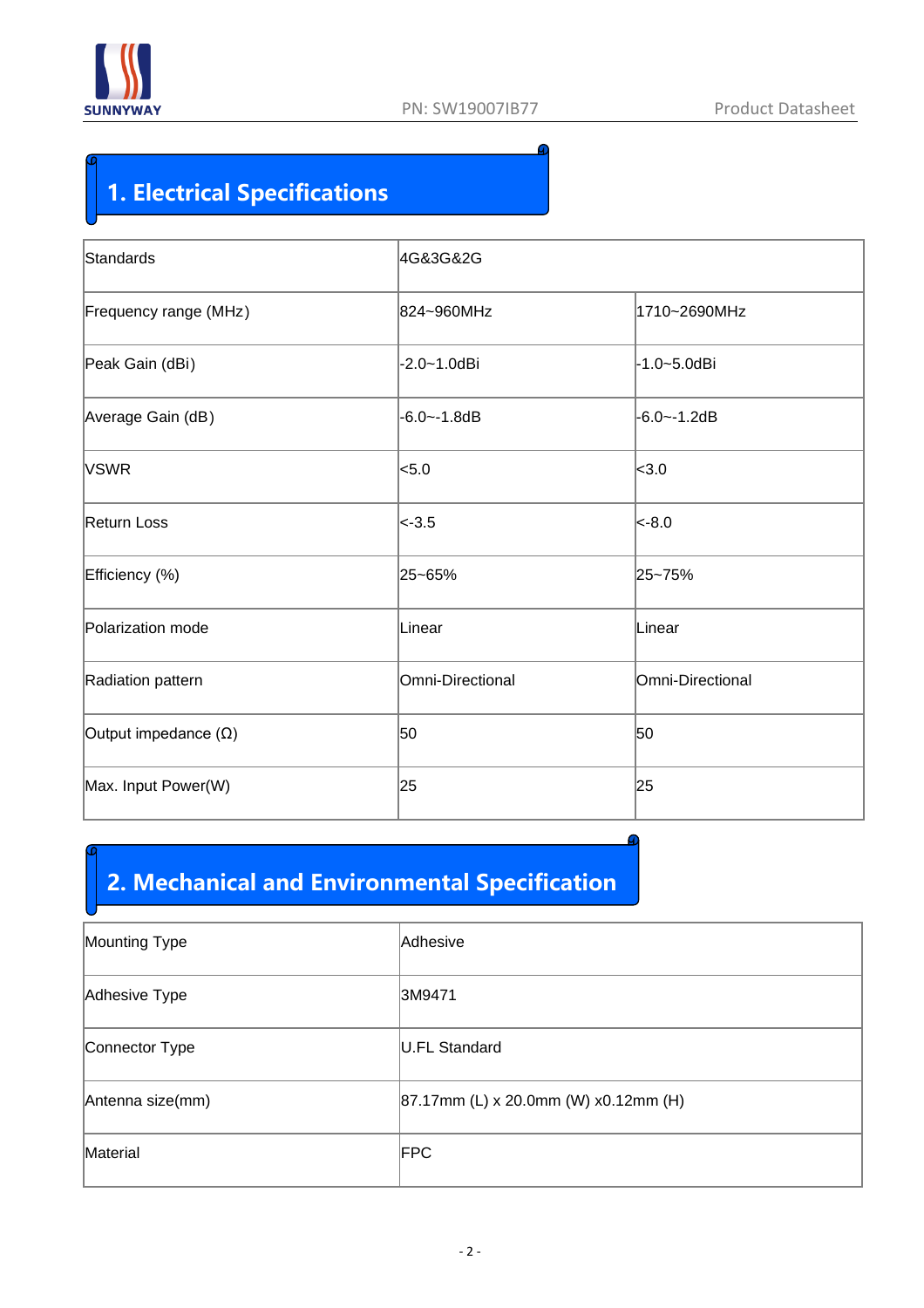

#### **1. Electrical Specifications**

| Standards                   | 4G&3G&2G         |                  |  |  |  |
|-----------------------------|------------------|------------------|--|--|--|
| Frequency range (MHz)       | 824~960MHz       | 1710~2690MHz     |  |  |  |
| Peak Gain (dBi)             | $-2.0 - 1.0$ dBi | -1.0~5.0dBi      |  |  |  |
| Average Gain (dB)           | $-6.0 - -1.8dB$  | $-6.0 - -1.2dB$  |  |  |  |
| <b>VSWR</b>                 | $ $ < 5.0        | $ $ < 3.0        |  |  |  |
| Return Loss                 | $ <$ -3.5        | $ $ <-8.0        |  |  |  |
| Efficiency (%)              | 25~65%           | 25~75%           |  |  |  |
| Polarization mode           | Linear           | Linear           |  |  |  |
| Radiation pattern           | Omni-Directional | Omni-Directional |  |  |  |
| Output impedance $(\Omega)$ | 50               | 50               |  |  |  |
| Max. Input Power(W)         | 25               | 25               |  |  |  |
|                             |                  |                  |  |  |  |

#### **2. Mechanical and Environmental Specification**

| Mounting Type    | Adhesive                                 |
|------------------|------------------------------------------|
| Adhesive Type    | 3M9471                                   |
| Connector Type   | U.FL Standard                            |
| Antenna size(mm) | $ 87.17$ mm (L) x 20.0mm (W) x0.12mm (H) |
| Material         | <b>FPC</b>                               |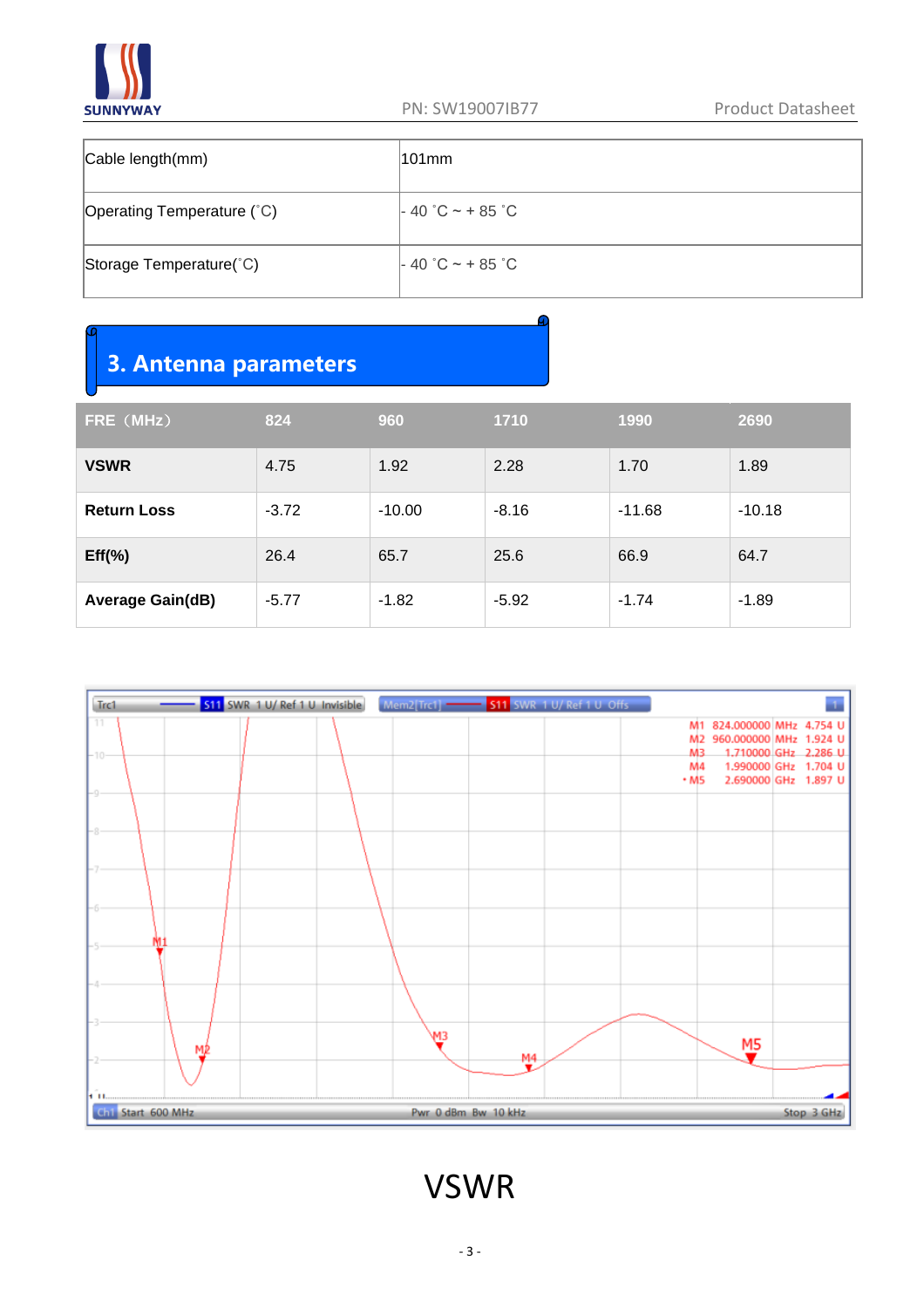

| Cable length(mm)           | $101$ mm           |
|----------------------------|--------------------|
| Operating Temperature (°C) | $-40$ °C ~ + 85 °C |
| Storage Temperature(°C)    | $-40$ °C ~ + 85 °C |

#### **3. Antenna parameters**

| FRE (MHz)               | 824     | 960      | 1710    | 1990     | 2690     |
|-------------------------|---------|----------|---------|----------|----------|
| <b>VSWR</b>             | 4.75    | 1.92     | 2.28    | 1.70     | 1.89     |
| <b>Return Loss</b>      | $-3.72$ | $-10.00$ | $-8.16$ | $-11.68$ | $-10.18$ |
| $Eff(\%)$               | 26.4    | 65.7     | 25.6    | 66.9     | 64.7     |
| <b>Average Gain(dB)</b> | $-5.77$ | $-1.82$  | $-5.92$ | $-1.74$  | $-1.89$  |



VSWR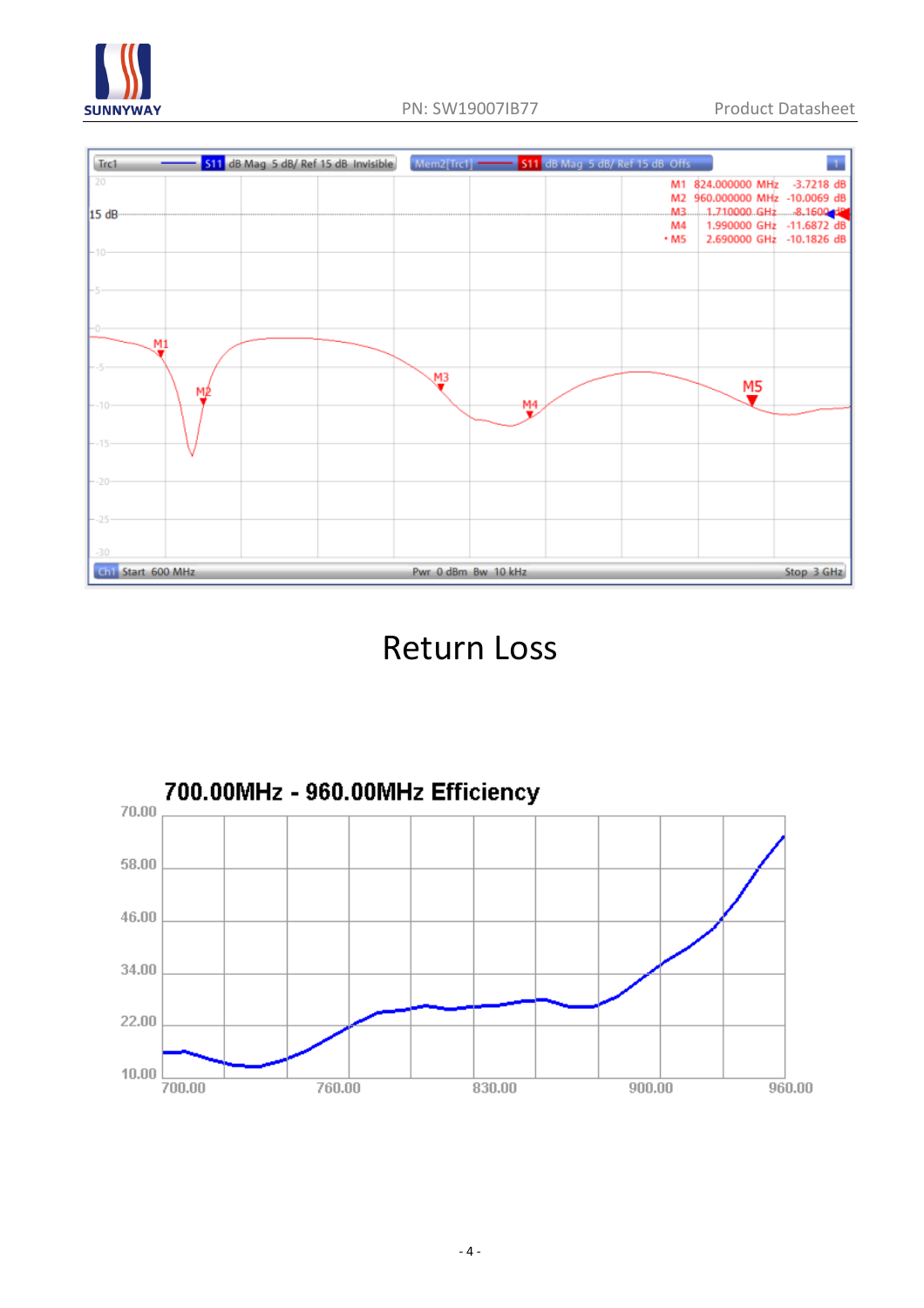





### Return Loss

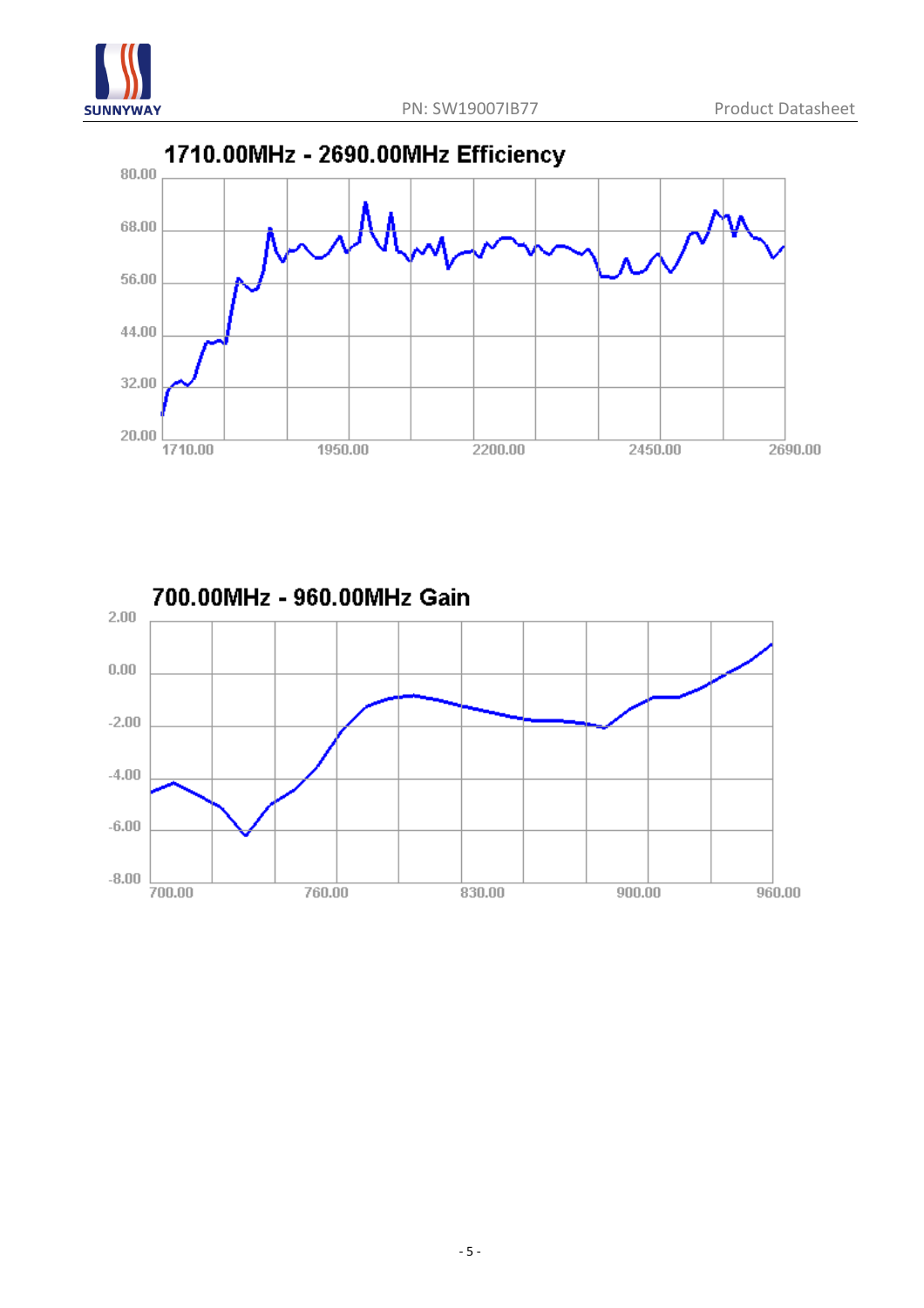





- 5 -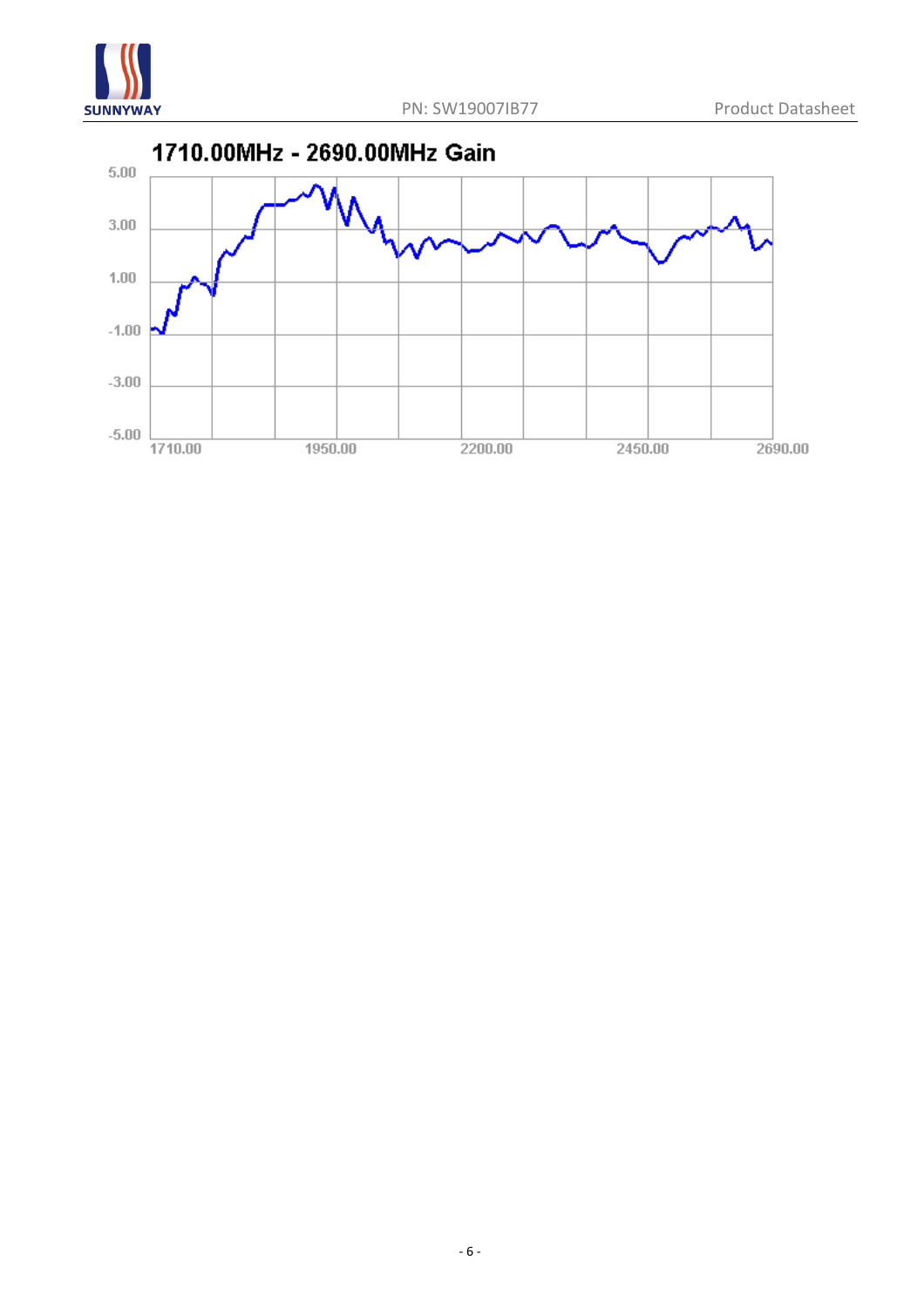

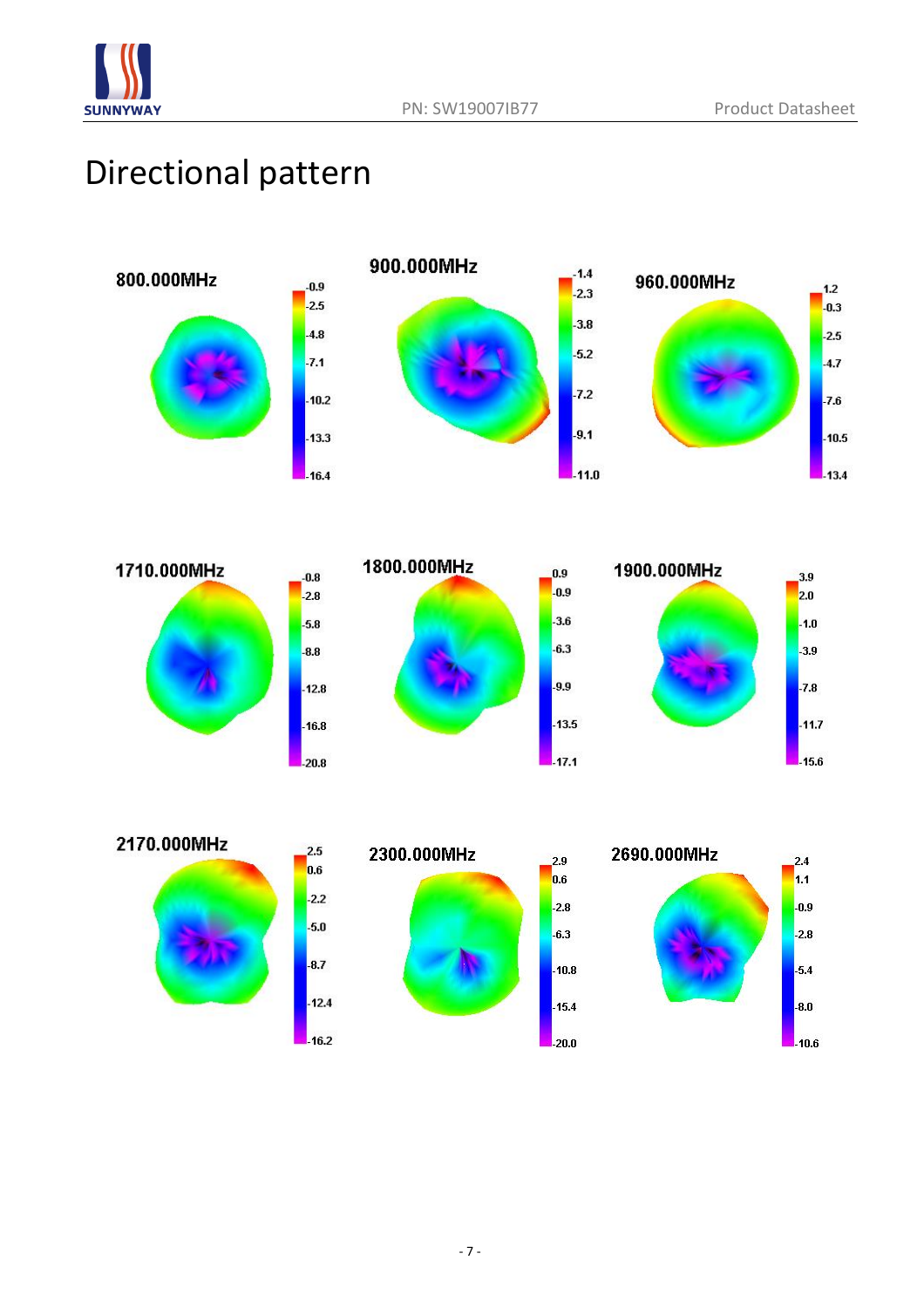

## Directional pattern